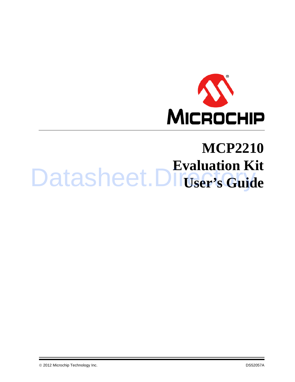

# **MCP2210 Evaluation Kit** Datasheet.Dif<del>fser's Guide</del>

© 2012 Microchip Technology Inc. DS52057A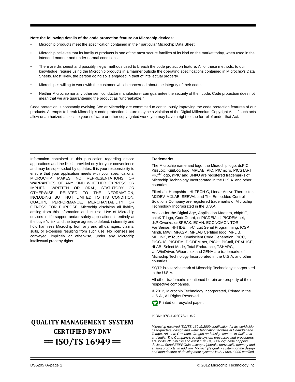#### **Note the following details of the code protection feature on Microchip devices:**

- Microchip products meet the specification contained in their particular Microchip Data Sheet.
- Microchip believes that its family of products is one of the most secure families of its kind on the market today, when used in the intended manner and under normal conditions.
- There are dishonest and possibly illegal methods used to breach the code protection feature. All of these methods, to our knowledge, require using the Microchip products in a manner outside the operating specifications contained in Microchip's Data Sheets. Most likely, the person doing so is engaged in theft of intellectual property.
- Microchip is willing to work with the customer who is concerned about the integrity of their code.
- Neither Microchip nor any other semiconductor manufacturer can guarantee the security of their code. Code protection does not mean that we are guaranteeing the product as "unbreakable."

Code protection is constantly evolving. We at Microchip are committed to continuously improving the code protection features of our products. Attempts to break Microchip's code protection feature may be a violation of the Digital Millennium Copyright Act. If such acts allow unauthorized access to your software or other copyrighted work, you may have a right to sue for relief under that Act.

Information contained in this publication regarding device applications and the like is provided only for your convenience and may be superseded by updates. It is your responsibility to ensure that your application meets with your specifications. MICROCHIP MAKES NO REPRESENTATIONS OR WARRANTIES OF ANY KIND WHETHER EXPRESS OR IMPLIED, WRITTEN OR ORAL, STATUTORY OR OTHERWISE, RELATED TO THE INFORMATION, INCLUDING BUT NOT LIMITED TO ITS CONDITION, QUALITY, PERFORMANCE, MERCHANTABILITY OR FITNESS FOR PURPOSE**.** Microchip disclaims all liability arising from this information and its use. Use of Microchip devices in life support and/or safety applications is entirely at the buyer's risk, and the buyer agrees to defend, indemnify and hold harmless Microchip from any and all damages, claims, suits, or expenses resulting from such use. No licenses are conveyed, implicitly or otherwise, under any Microchip intellectual property rights.

# **QUALITY MANAGEMENT SYSTEM CERTIFIED BY DNV**   $=$  **ISO/TS 16949**  $=$

#### **Trademarks**

The Microchip name and logo, the Microchip logo, dsPIC, KEELOQ, KEELOQ logo, MPLAB, PIC, PICmicro, PICSTART, PIC<sup>32</sup> logo, rfPIC and UNI/O are registered trademarks of Microchip Technology Incorporated in the U.S.A. and other countries.

FilterLab, Hampshire, HI-TECH C, Linear Active Thermistor, MXDEV, MXLAB, SEEVAL and The Embedded Control Solutions Company are registered trademarks of Microchip Technology Incorporated in the U.S.A.

Analog-for-the-Digital Age, Application Maestro, chipKIT, chipKIT logo, CodeGuard, dsPICDEM, dsPICDEM.net, dsPICworks, dsSPEAK, ECAN, ECONOMONITOR, FanSense, HI-TIDE, In-Circuit Serial Programming, ICSP, Mindi, MiWi, MPASM, MPLAB Certified logo, MPLIB, MPLINK, mTouch, Omniscient Code Generation, PICC, PICC-18, PICDEM, PICDEM.net, PICkit, PICtail, REAL ICE, rfLAB, Select Mode, Total Endurance, TSHARC, UniWinDriver, WiperLock and ZENA are trademarks of Microchip Technology Incorporated in the U.S.A. and other countries.

SQTP is a service mark of Microchip Technology Incorporated in the U.S.A.

All other trademarks mentioned herein are property of their respective companies.

© 2012, Microchip Technology Incorporated, Printed in the U.S.A., All Rights Reserved.

Printed on recycled paper.

ISBN: 978-1-62076-118-2

*Microchip received ISO/TS-16949:2009 certification for its worldwide headquarters, design and wafer fabrication facilities in Chandler and Tempe, Arizona; Gresham, Oregon and design centers in California and India. The Company's quality system processes and procedures are for its PIC® MCUs and dsPIC® DSCs, KEELOQ® code hopping devices, Serial EEPROMs, microperipherals, nonvolatile memory and analog products. In addition, Microchip's quality system for the design and manufacture of development systems is ISO 9001:2000 certified.*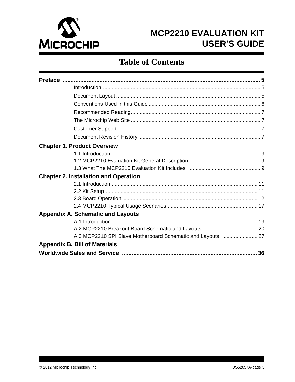

# **MCP2210 EVALUATION KIT USER'S GUIDE**

# **Table of Contents**

| <b>Chapter 1. Product Overview</b>                          |  |
|-------------------------------------------------------------|--|
|                                                             |  |
|                                                             |  |
|                                                             |  |
| <b>Chapter 2. Installation and Operation</b>                |  |
|                                                             |  |
|                                                             |  |
|                                                             |  |
|                                                             |  |
| <b>Appendix A. Schematic and Layouts</b>                    |  |
|                                                             |  |
|                                                             |  |
| A.3 MCP2210 SPI Slave Motherboard Schematic and Layouts  27 |  |
| <b>Appendix B. Bill of Materials</b>                        |  |
|                                                             |  |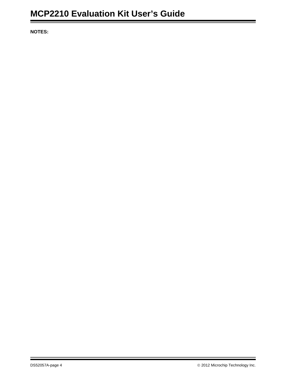**NOTES:**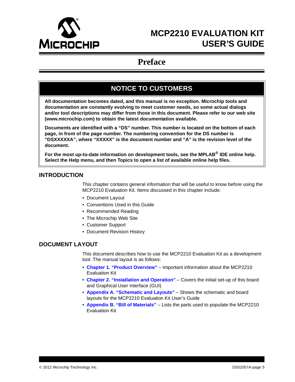<span id="page-4-0"></span>

# **MCP2210 EVALUATION KIT USER'S GUIDE**

# **Preface**

# **NOTICE TO CUSTOMERS**

**All documentation becomes dated, and this manual is no exception. Microchip tools and documentation are constantly evolving to meet customer needs, so some actual dialogs and/or tool descriptions may differ from those in this document. Please refer to our web site (www.microchip.com) to obtain the latest documentation available.**

**Documents are identified with a "DS" number. This number is located on the bottom of each page, in front of the page number. The numbering convention for the DS number is "DSXXXXXA", where "XXXXX" is the document number and "A" is the revision level of the document.**

**For the most up-to-date information on development tools, see the MPLAB® IDE online help. Select the Help menu, and then Topics to open a list of available online help files.**

### <span id="page-4-1"></span>**INTRODUCTION**

This chapter contains general information that will be useful to know before using the MCP2210 Evaluation Kit. Items discussed in this chapter include:

- • [Document Layout](#page-4-2)
- • [Conventions Used in this Guide](#page-5-0)
- • [Recommended Reading](#page-6-0)
- • [The Microchip Web Site](#page-6-1)
- • [Customer Support](#page-6-2)
- • [Document Revision History](#page-6-3)

### <span id="page-4-2"></span>**DOCUMENT LAYOUT**

This document describes how to use the MCP2210 Evaluation Kit as a development tool. The manual layout is as follows:

- **[Chapter 1. "Product Overview"](#page-8-4)** Important information about the MCP2210 Evaluation Kit
- **[Chapter 2. "Installation and Operation"](#page-10-3)** Covers the initial set-up of this board and Graphical User Interface (GUI)
- **[Appendix A. "Schematic and Layouts"](#page-20-2)** Shows the schematic and board layouts for the MCP2210 Evaluation Kit User's Guide
- **[Appendix B. "Bill of Materials"](#page-34-1)** Lists the parts used to populate the MCP2210 Evaluation Kit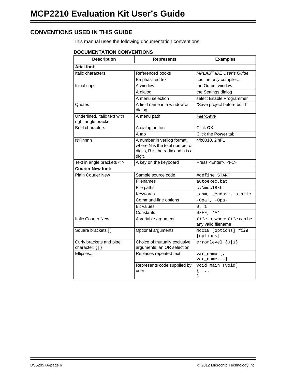# <span id="page-5-0"></span>**CONVENTIONS USED IN THIS GUIDE**

This manual uses the following documentation conventions:

#### **DOCUMENTATION CONVENTIONS**

| <b>Description</b>                                  | <b>Represents</b>                                                                                            | <b>Examples</b>                                                  |  |  |
|-----------------------------------------------------|--------------------------------------------------------------------------------------------------------------|------------------------------------------------------------------|--|--|
| Arial font:                                         |                                                                                                              |                                                                  |  |  |
| Italic characters                                   | Referenced books                                                                                             | MPLAB <sup>®</sup> IDE User's Guide                              |  |  |
|                                                     | Emphasized text                                                                                              | is the only compiler                                             |  |  |
| Initial caps                                        | $\overline{A}$ window                                                                                        | the Output window                                                |  |  |
|                                                     | A dialog                                                                                                     | the Settings dialog                                              |  |  |
|                                                     | A menu selection                                                                                             | select Enable Programmer                                         |  |  |
| Quotes                                              | A field name in a window or<br>dialog                                                                        | "Save project before build"                                      |  |  |
| Underlined, italic text with<br>right angle bracket | A menu path                                                                                                  | File>Save                                                        |  |  |
| <b>Bold characters</b>                              | A dialog button                                                                                              | Click OK                                                         |  |  |
|                                                     | A tab                                                                                                        | Click the Power tab                                              |  |  |
| N'Rnnnn                                             | A number in verilog format,<br>where N is the total number of<br>digits, R is the radix and n is a<br>digit. | 4'b0010, 2'hF1                                                   |  |  |
| Text in angle brackets $\lt$ >                      | A key on the keyboard                                                                                        | Press <enter>, <f1></f1></enter>                                 |  |  |
| <b>Courier New font:</b>                            |                                                                                                              |                                                                  |  |  |
| <b>Plain Courier New</b>                            | Sample source code                                                                                           | #define START                                                    |  |  |
|                                                     | Filenames                                                                                                    | autoexec.bat                                                     |  |  |
|                                                     | File paths                                                                                                   | $c:\mcc18\nh$                                                    |  |  |
|                                                     | Keywords                                                                                                     | _asm, _endasm, static                                            |  |  |
|                                                     | Command-line options                                                                                         | $-Opa+, -Opa-$                                                   |  |  |
|                                                     | <b>Bit values</b>                                                                                            | 0, 1                                                             |  |  |
|                                                     | Constants                                                                                                    | 0xFF, 'A'                                                        |  |  |
| <b>Italic Courier New</b>                           | A variable argument                                                                                          | $\overline{file}$ . o, where $file$ can be<br>any valid filename |  |  |
| Square brackets []                                  | Optional arguments                                                                                           | mcc18 [options] file<br>[options]                                |  |  |
| Curly brackets and pipe<br>character: $\{  \}$      | Choice of mutually exclusive<br>arguments; an OR selection                                                   | errorlevel $\{0 1\}$                                             |  |  |
| Ellipses                                            | Replaces repeated text                                                                                       | var_name [,<br>$var_name$ ]                                      |  |  |
|                                                     | Represents code supplied by<br>user                                                                          | void main (void)<br>$\mathcal{L}$<br>$\cdots$<br>ł               |  |  |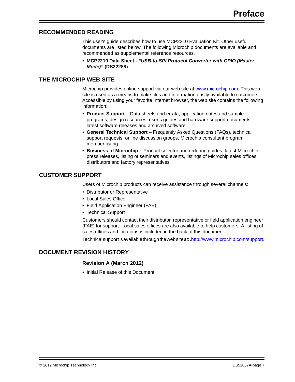### <span id="page-6-0"></span>**RECOMMENDED READING**

This user's guide describes how to use MCP2210 Evaluation Kit. Other useful documents are listed below. The following Microchip documents are available and recommended as supplemental reference resources.

**• MCP2210 Data Sheet -** *"USB-to-SPI Protocol Converter with GPIO (Master Mode)"* **(DS22288)**

### <span id="page-6-1"></span>**THE MICROCHIP WEB SITE**

Microchip provides online support via our web site a[t www.microchip.com](www.microchip.com). This web site is used as a means to make files and information easily available to customers. Accessible by using your favorite Internet browser, the web site contains the following information:

- **Product Support** Data sheets and errata, application notes and sample programs, design resources, user's guides and hardware support documents, latest software releases and archived software
- **General Technical Support** Frequently Asked Questions (FAQs), technical support requests, online discussion groups, Microchip consultant program member listing
- **Business of Microchip** Product selector and ordering guides, latest Microchip press releases, listing of seminars and events, listings of Microchip sales offices, distributors and factory representatives

### <span id="page-6-2"></span>**CUSTOMER SUPPORT**

Users of Microchip products can receive assistance through several channels:

- Distributor or Representative
- Local Sales Office
- Field Application Engineer (FAE)
- Technical Support

Customers should contact their distributor, representative or field application engineer (FAE) for support. Local sales offices are also available to help customers. A listing of sales offices and locations is included in the back of this document.

[Technical support is available through the web site at: .h](http://www.microchip.com/support)ttp://www.microchip.com/support.

### <span id="page-6-3"></span>**DOCUMENT REVISION HISTORY**

#### **Revision A (March 2012)**

• Initial Release of this Document.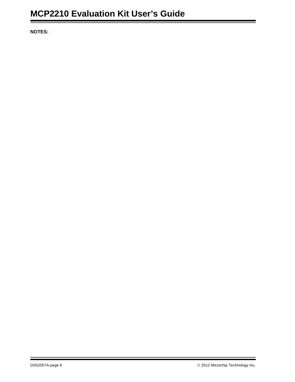**NOTES:**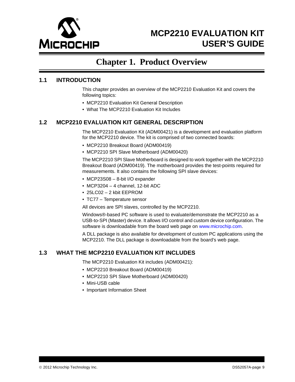

# <span id="page-8-4"></span>**MCP2210 EVALUATION KIT USER'S GUIDE**

# **Chapter 1. Product Overview**

### <span id="page-8-1"></span><span id="page-8-0"></span>**1.1 INTRODUCTION**

This chapter provides an overview of the MCP2210 Evaluation Kit and covers the following topics:

- • [MCP2210 Evaluation Kit General Description](#page-8-2)
- • [What The MCP2210 Evaluation Kit Includes](#page-8-3)

### <span id="page-8-2"></span>**1.2 MCP2210 EVALUATION KIT GENERAL DESCRIPTION**

The MCP2210 Evaluation Kit (ADM00421) is a development and evaluation platform for the MCP2210 device. The kit is comprised of two connected boards:

- MCP2210 Breakout Board (ADM00419)
- MCP2210 SPI Slave Motherboard (ADM00420)

The MCP2210 SPI Slave Motherboard is designed to work together with the MCP2210 Breakout Board (ADM00419). The motherboard provides the test-points required for measurements. It also contains the following SPI slave devices:

- MCP23S08 8-bit I/O expander
- MCP3204 4 channel, 12-bit ADC
- 25LC02 2 kbit EEPROM
- TC77 Temperature sensor

All devices are SPI slaves, controlled by the MCP2210.

Windows®-based PC software is used to evaluate/demonstrate the MCP2210 as a [USB-to-SPI \(Master\) device. It allows I/O control and custom device configuration. The](www.microchip.com)  [software is downloadable from the board web page on w](www.microchip.com)ww.microchip.com.

A DLL package is also available for development of custom PC applications using the MCP2210. The DLL package is downloadable from the board's web page.

### <span id="page-8-3"></span>**1.3 WHAT THE MCP2210 EVALUATION KIT INCLUDES**

The MCP2210 Evaluation Kit includes (ADM00421):

- MCP2210 Breakout Board (ADM00419)
- MCP2210 SPI Slave Motherboard (ADM00420)
- Mini-USB cable
- Important Information Sheet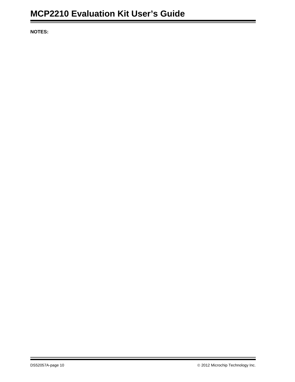**NOTES:**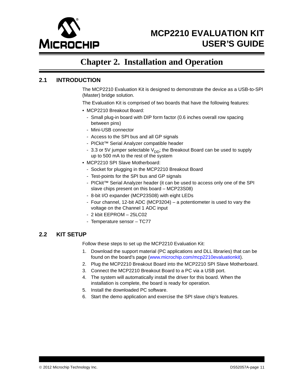

# <span id="page-10-3"></span>**MCP2210 EVALUATION KIT USER'S GUIDE**

# **Chapter 2. Installation and Operation**

### <span id="page-10-1"></span><span id="page-10-0"></span>**2.1 INTRODUCTION**

The MCP2210 Evaluation Kit is designed to demonstrate the device as a USB-to-SPI (Master) bridge solution.

The Evaluation Kit is comprised of two boards that have the following features:

- MCP2210 Breakout Board:
	- Small plug-in board with DIP form factor (0.6 inches overall row spacing between pins)
	- Mini-USB connector
	- Access to the SPI bus and all GP signals
	- PICkit™ Serial Analyzer compatible header
	- 3.3 or 5V jumper selectable  $V_{DD}$ ; the Breakout Board can be used to supply up to 500 mA to the rest of the system
- MCP2210 SPI Slave Motherboard:
	- Socket for plugging in the MCP2210 Breakout Board
	- Test-points for the SPI bus and GP signals
	- PICkit™ Serial Analyzer header (it can be used to access only one of the SPI slave chips present on this board – MCP23S08)
	- 8-bit I/O expander (MCP23S08) with eight LEDs
	- Four channel, 12-bit ADC (MCP3204) a potentiometer is used to vary the voltage on the Channel 1 ADC input
	- 2 kbit EEPROM 25LC02
	- Temperature sensor TC77

### <span id="page-10-2"></span>**2.2 KIT SETUP**

Follow these steps to set up the MCP2210 Evaluation Kit:

- 1. [Download the support material \(PC applications and DLL libraries\) that can be](http://www.microchip.com/stellent/idcplg?IdcService=SS_GET_PAGE&nodeId=1406&dDocName=en556988&part=ADM00421)  [found on the board's page \(w](http://www.microchip.com/stellent/idcplg?IdcService=SS_GET_PAGE&nodeId=1406&dDocName=en556988&part=ADM00421)ww.microchip.com/mcp2210evaluationkit).
- 2. Plug the MCP2210 Breakout Board into the MCP2210 SPI Slave Motherboard.
- 3. Connect the MCP2210 Breakout Board to a PC via a USB port.
- 4. The system will automatically install the driver for this board. When the installation is complete, the board is ready for operation.
- 5. Install the downloaded PC software.
- 6. Start the demo application and exercise the SPI slave chip's features.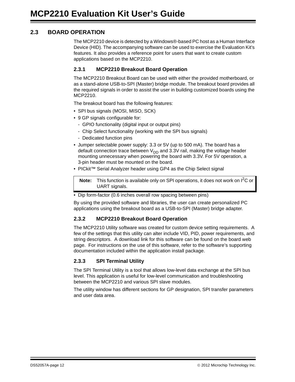# <span id="page-11-0"></span>**2.3 BOARD OPERATION**

The MCP2210 device is detected by a Windows®-based PC host as a Human Interface Device (HID). The accompanying software can be used to exercise the Evaluation Kit's features. It also provides a reference point for users that want to create custom applications based on the MCP2210.

### **2.3.1 MCP2210 Breakout Board Operation**

The MCP2210 Breakout Board can be used with either the provided motherboard, or as a stand-alone USB-to-SPI (Master) bridge module. The breakout board provides all the required signals in order to assist the user in building customized boards using the MCP2210.

The breakout board has the following features:

- SPI bus signals (MOSI, MISO, SCK)
- 9 GP signals configurable for:
	- GPIO functionality (digital input or output pins)
	- Chip Select functionality (working with the SPI bus signals)
	- Dedicated function pins
- Jumper selectable power supply: 3.3 or 5V (up to 500 mA). The board has a default connection trace between  $V_{DD}$  and 3.3V rail, making the voltage header mounting unnecessary when powering the board with 3.3V. For 5V operation, a 3-pin header must be mounted on the board.
- PICkit™ Serial Analyzer header using GP4 as the Chip Select signal

**Note:** This function is available only on SPI operations, it does not work on I<sup>2</sup>C or UART signals.

• Dip form-factor (0.6 inches overall row spacing between pins)

By using the provided software and libraries, the user can create personalized PC applications using the breakout board as a USB-to-SPI (Master) bridge adapter.

### **2.3.2 MCP2210 Breakout Board Operation**

The MCP2210 Utility software was created for custom device setting requirements. A few of the settings that this utility can alter include VID, PID, power requirements, and string descriptors. A download link for this software can be found on the board web page. For instructions on the use of this software, refer to the software's supporting documentation included within the application install package.

### **2.3.3 SPI Terminal Utility**

The SPI Terminal Utility is a tool that allows low-level data exchange at the SPI bus level. This application is useful for low-level communication and troubleshooting between the MCP2210 and various SPI slave modules.

The utility window has different sections for GP designation, SPI transfer parameters and user data area.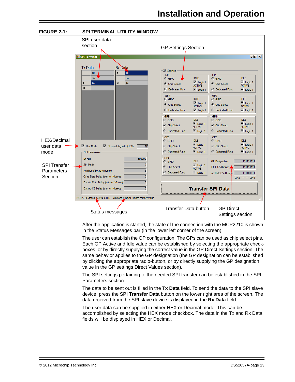<span id="page-12-0"></span>

After the application is started, the state of the connection with the MCP2210 is shown in the Status Messages bar (in the lower left corner of the screen).

The user can establish the GP configuration. The GPs can be used as chip select pins. Each GP Active and Idle value can be established by selecting the appropriate checkboxes, or by directly supplying the correct value in the GP Direct Settings section. The same behavior applies to the GP designation (the GP designation can be established by clicking the appropriate radio-button, or by directly supplying the GP designation value in the GP settings Direct Values section).

The SPI settings pertaining to the needed SPI transfer can be established in the SPI Parameters section.

The data to be sent out is filled in the **Tx Data** field. To send the data to the SPI slave device, press the **SPI Transfer Data** button on the lower right area of the screen. The data received from the SPI slave device is displayed in the **Rx Data** field.

The user data can be supplied in either HEX or Decimal mode. This can be accomplished by selecting the HEX mode checkbox. The data in the Tx and Rx Data fields will be displayed in HEX or Decimal.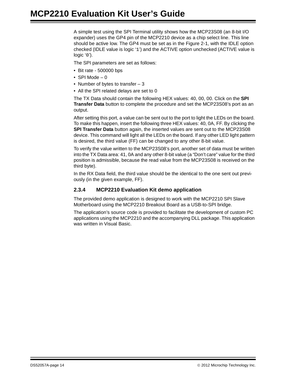A simple test using the SPI Terminal utility shows how the MCP23S08 (an 8-bit I/O expander) uses the GP4 pin of the MCP2210 device as a chip select line. This line should be active low. The GP4 must be set as in the [Figure 2-1](#page-12-0), with the IDLE option checked (IDLE value is logic '1') and the ACTIVE option unchecked (ACTIVE value is logic '0').

The SPI parameters are set as follows:

- Bit rate 500000 bps
- SPI Mode  $-0$
- Number of bytes to transfer  $-3$
- All the SPI related delays are set to 0

The TX Data should contain the following HEX values: 40, 00, 00. Click on the **SPI Transfer Data** button to complete the procedure and set the MCP23S08's port as an output.

After setting this port, a value can be sent out to the port to light the LEDs on the board. To make this happen, insert the following three HEX values: 40, 0A, FF. By clicking the **SPI Transfer Data** button again, the inserted values are sent out to the MCP23S08 device. This command will light all the LEDs on the board. If any other LED light pattern is desired, the third value (FF) can be changed to any other 8-bit value.

To verify the value written to the MCP23S08's port, another set of data must be written into the TX Data area: 41, 0A and any other 8-bit value (a "Don't care" value for the third position is admissible, because the read value from the MCP23S08 is received on the third byte).

In the RX Data field, the third value should be the identical to the one sent out previously (in the given example, FF).

#### **2.3.4 MCP2210 Evaluation Kit demo application**

The provided demo application is designed to work with the MCP2210 SPI Slave Motherboard using the MCP2210 Breakout Board as a USB-to-SPI bridge.

The application's source code is provided to facilitate the development of custom PC applications using the MCP2210 and the accompanying DLL package. This application was written in Visual Basic.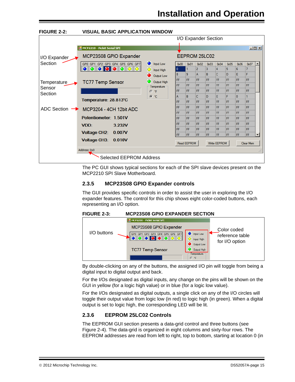

The PC GUI shows typical sections for each of the SPI slave devices present on the MCP2210 SPI Slave Motherboard.

#### **2.3.5 MCP23S08 GPIO Expander controls**

The GUI provides specific controls in order to assist the user in exploring the I/O expander features. The control for this chip shows eight color-coded buttons, each representing an I/O option.





By double-clicking on any of the buttons, the assigned I/O pin will toggle from being a digital input to digital output and back.

For the I/Os designated as digital inputs, any change on the pins will be shown on the GUI in yellow (for a logic high value) or in blue (for a logic low value).

For the I/Os designated as digital outputs, a single click on any of the I/O circles will toggle their output value from logic low (in red) to logic high (in green). When a digital output is set to logic high, the corresponding LED will be lit.

#### **2.3.6 EEPROM 25LC02 Controls**

The EEPROM GUI section presents a data-grid control and three buttons (see [Figure 2-4\)](#page-15-0). The data-grid is organized in eight columns and sixty-four rows. The EEPROM addresses are read from left to right, top to bottom, starting at location 0 (in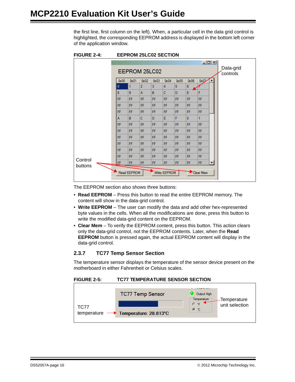the first line, first column on the left). When, a particular cell in the data grid control is highlighted, the corresponding EEPROM address is displayed in the bottom left corner of the application window.

|         |                   | EEPROM 25LC02    |                |                   |              |           |             |           | $ I_{\square} $<br>Data-grid<br>controls |
|---------|-------------------|------------------|----------------|-------------------|--------------|-----------|-------------|-----------|------------------------------------------|
|         | 0 <sub>x</sub> 00 | 0 <sub>x01</sub> | 0x02           | 0 <sub>x</sub> 03 | 0x04         | 0x05      | <b>0x06</b> | 0x0z      |                                          |
|         | 0                 |                  | $\overline{2}$ | 3                 | 4            | 5         | 6           |           |                                          |
|         | 8                 | $\overline{9}$   | $\mathsf{A}$   | B                 | c            | D         | E           | F         |                                          |
|         | FF.               | <b>FF</b>        | FF.            | <b>FF</b>         | <b>FF</b>    | FF.       | FF.         | <b>FF</b> |                                          |
|         | FF.               | <b>FF</b>        | FF.            | <b>FF</b>         | <b>FF</b>    | <b>FF</b> | <b>FF</b>   | <b>FF</b> |                                          |
|         | <b>FF</b>         | <b>FF</b>        | FF.            | <b>FF</b>         | FF           | <b>FF</b> | FF.         | FF.       |                                          |
|         | А                 | B                | c              | D                 | E            | F         | $\Omega$    | 1         |                                          |
|         | FF.               | <b>FF</b>        | <b>FF</b>      | <b>FF</b>         | <b>FF</b>    | <b>FF</b> | <b>FF</b>   | <b>FF</b> |                                          |
|         | FF.               | <b>FF</b>        | <b>FF</b>      | FF.               | <b>FF</b>    | <b>FF</b> | <b>FF</b>   | <b>FF</b> |                                          |
|         | FF.               | FF.              | FF.            | FF.               | FF.          | FF.       | FF.         | <b>FF</b> |                                          |
|         | FF.               | <b>FF</b>        | FF.            | FF                | <b>FF</b>    | FF.       | FF.         | <b>FF</b> |                                          |
|         | FF.               | <b>FF</b>        | <b>FF</b>      | <b>FF</b>         | <b>FF</b>    | <b>FF</b> | <b>FF</b>   | <b>FF</b> |                                          |
|         | <b>FF</b>         | <b>FF</b>        | FF.            | <b>FF</b>         | <b>FF</b>    | <b>FF</b> | <b>FF</b>   | FF        |                                          |
| Control | FF                | <b>FF</b>        | <b>FF</b>      | <b>FF</b>         | FF.          | <b>FF</b> | FF.         | FF.       |                                          |
| buttons |                   | Read EEPROM      |                |                   | Write EEPROM |           |             | Clear Mem |                                          |

#### <span id="page-15-0"></span>**FIGURE 2-4: EEPROM 25LC02 SECTION**

The EEPROM section also shows three buttons:

- **Read EEPROM** Press this button to read the entire EEPROM memory. The content will show in the data-grid control.
- **Write EEPROM** The user can modify the data and add other hex-represented byte values in the cells. When all the modifications are done, press this button to write the modified data-grid content on the EEPROM.
- **Clear Mem** To verify the EEPROM content, press this button. This action clears only the data-grid control, not the EEPROM contents. Later, when the **Read EEPROM** button is pressed again, the actual EEPROM content will display in the data-grid control.

#### **2.3.7 TC77 Temp Sensor Section**

The temperature sensor displays the temperature of the sensor device present on the motherboard in either Fahrenheit or Celsius scales.

#### **FIGURE 2-5: TC77 TEMPERATURE SENSOR SECTION**

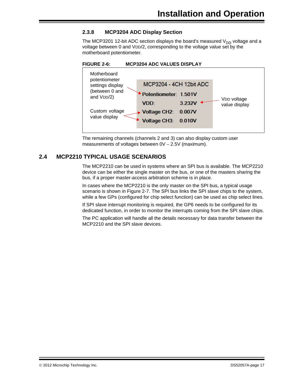### **2.3.8 MCP3204 ADC Display Section**

The MCP3201 12-bit ADC section displays the board's measured  $V_{DD}$  voltage and a voltage between 0 and VDD/2, corresponding to the voltage value set by the motherboard potentiometer.





The remaining channels (channels 2 and 3) can also display custom user measurements of voltages between 0V – 2.5V (maximum).

### <span id="page-16-0"></span>**2.4 MCP2210 TYPICAL USAGE SCENARIOS**

The MCP2210 can be used in systems where an SPI bus is available. The MCP2210 device can be either the single master on the bus, or one of the masters sharing the bus, if a proper master-access arbitration scheme is in place.

In cases where the MCP2210 is the only master on the SPI bus, a typical usage scenario is shown in [Figure 2-7](#page-17-0). The SPI bus links the SPI slave chips to the system, while a few GPs (configured for chip select function) can be used as chip select lines.

If SPI slave interrupt monitoring is required, the GP6 needs to be configured for its dedicated function, in order to monitor the interrupts coming from the SPI slave chips.

The PC application will handle all the details necessary for data transfer between the MCP2210 and the SPI slave devices.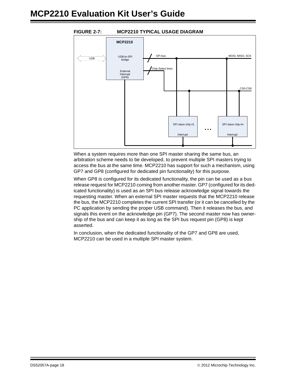<span id="page-17-0"></span>

When a system requires more than one SPI master sharing the same bus, an arbitration scheme needs to be developed, to prevent multiple SPI masters trying to access the bus at the same time. MCP2210 has support for such a mechanism, using GP7 and GP8 (configured for dedicated pin functionality) for this purpose.

When GP8 is configured for its dedicated functionality, the pin can be used as a bus release request for MCP2210 coming from another master. GP7 (configured for its dedicated functionality) is used as an SPI bus release acknowledge signal towards the requesting master. When an external SPI master requests that the MCP2210 release the bus, the MCP2210 completes the current SPI transfer (or it can be cancelled by the PC application by sending the proper USB command). Then it releases the bus, and signals this event on the acknowledge pin (GP7). The second master now has ownership of the bus and can keep it as long as the SPI bus request pin (GP8) is kept asserted.

In conclusion, when the dedicated functionality of the GP7 and GP8 are used, MCP2210 can be used in a multiple SPI master system.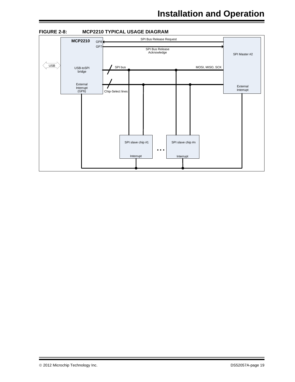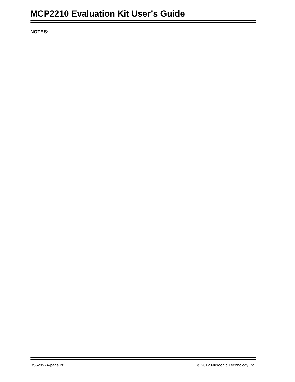**NOTES:**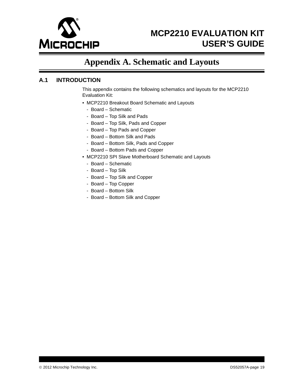

# <span id="page-20-2"></span>**MCP2210 EVALUATION KIT USER'S GUIDE**

# **Appendix A. Schematic and Layouts**

# <span id="page-20-1"></span><span id="page-20-0"></span>**A.1 INTRODUCTION**

This appendix contains the following schematics and layouts for the MCP2210 Evaluation Kit:

- • [MCP2210 Breakout Board Schematic and Layouts](#page-21-0)
	- - [Board Schematic](#page-21-1)
	- - [Board Top Silk and Pads](#page-22-0)
	- - [Board Top Silk, Pads and Copper](#page-23-0)
	- - [Board Top Pads and Copper](#page-24-0)
	- - [Board Bottom Silk and Pads](#page-25-0)
	- - [Board Bottom Silk, Pads and Copper](#page-26-0)
	- - [Board Bottom Pads and Copper](#page-27-0)
- • [MCP2210 SPI Slave Motherboard Schematic and Layouts](#page-28-0)
	- - [Board Schematic](#page-28-1)
	- - [Board Top Silk](#page-29-0)
	- - [Board Top Silk and Copper](#page-30-0)
	- - [Board Top Copper](#page-31-0)
	- - [Board Bottom Silk](#page-32-0)
	- - [Board Bottom Silk and Copper](#page-33-0)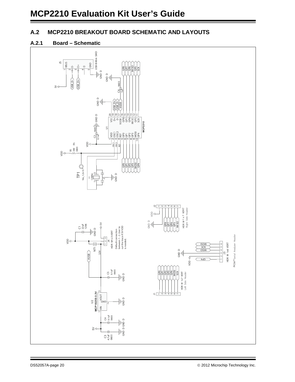# <span id="page-21-0"></span>**A.2 MCP2210 BREAKOUT BOARD SCHEMATIC AND LAYOUTS**

# <span id="page-21-1"></span>**A.2.1 Board – Schematic**

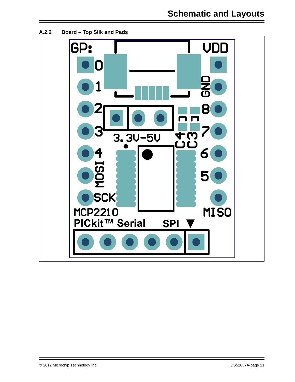<span id="page-22-0"></span>

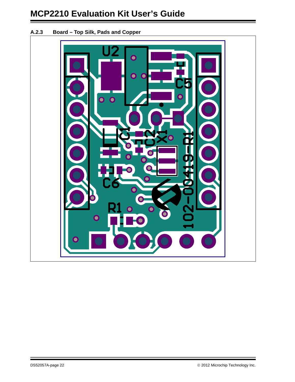# <span id="page-23-0"></span>**A.2.3 Board – Top Silk, Pads and Copper**

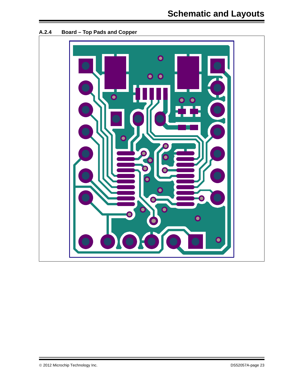<span id="page-24-0"></span>

**A.2.4 Board – Top Pads and Copper**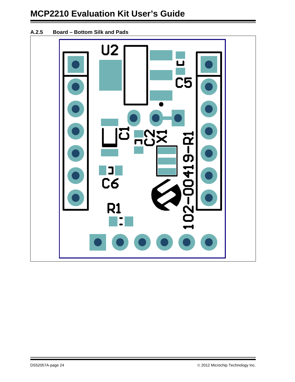### <span id="page-25-0"></span>**A.2.5 Board – Bottom Silk and Pads**

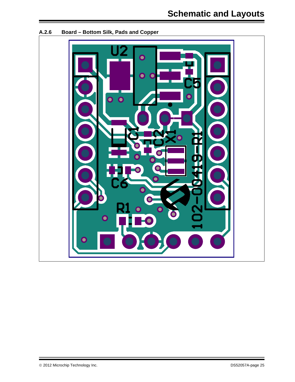<span id="page-26-0"></span>

**A.2.6 Board – Bottom Silk, Pads and Copper**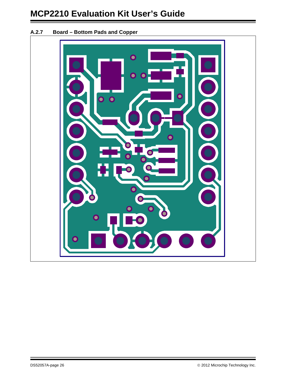# <span id="page-27-0"></span>**A.2.7 Board – Bottom Pads and Copper**

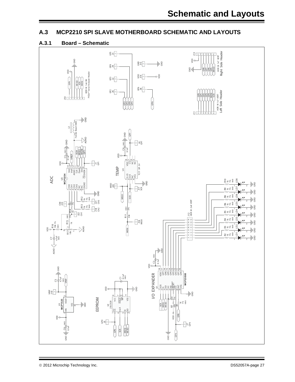# <span id="page-28-0"></span>**A.3 MCP2210 SPI SLAVE MOTHERBOARD SCHEMATIC AND LAYOUTS**

### <span id="page-28-1"></span>**A.3.1 Board – Schematic**

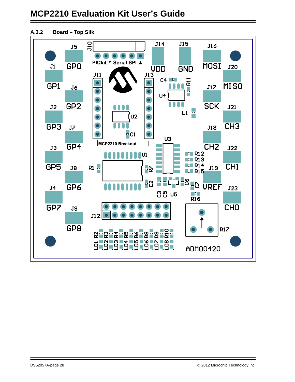# **MCP2210 Evaluation Kit User's Guide**



<span id="page-29-0"></span>**A.3.2 Board – Top Silk**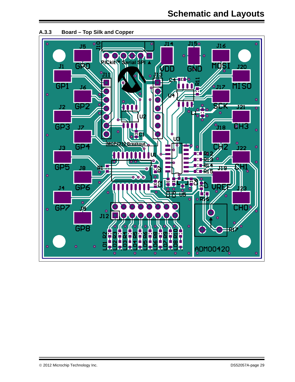

<span id="page-30-0"></span>**A.3.3 Board – Top Silk and Copper**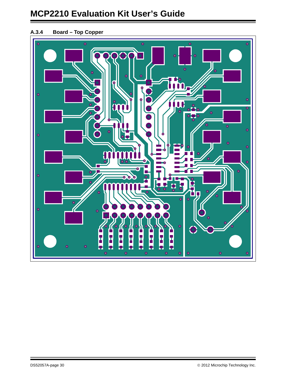# **MCP2210 Evaluation Kit User's Guide**

# <span id="page-31-0"></span>**A.3.4 Board – Top Copper**

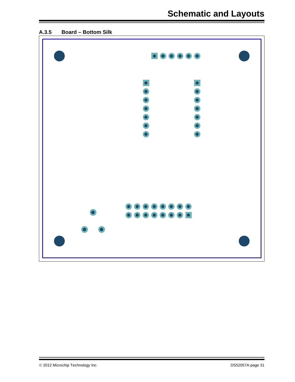

<span id="page-32-0"></span>**A.3.5 Board – Bottom Silk**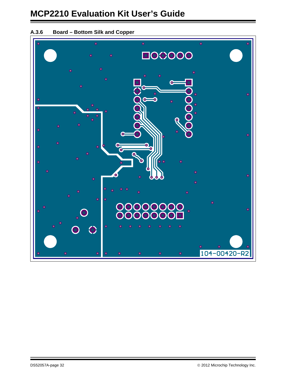<span id="page-33-0"></span>**A.3.6 Board – Bottom Silk and Copper**

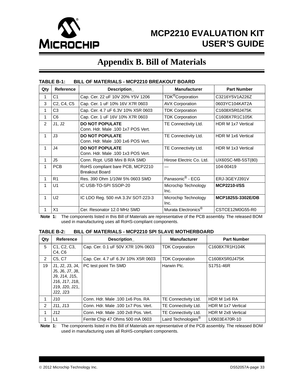

# <span id="page-34-1"></span>**MCP2210 EVALUATION KIT USER'S GUIDE**

# **Appendix B. Bill of Materials**

<span id="page-34-0"></span>

| BILL OF MATERIALS - MCP2210 BREAKOUT BOARD<br>TABLE B-1: |                  |                                                              |                                 |                           |  |  |  |  |
|----------------------------------------------------------|------------------|--------------------------------------------------------------|---------------------------------|---------------------------|--|--|--|--|
| Qty                                                      | <b>Reference</b> | Description_                                                 | <b>Manufacturer</b>             | <b>Part Number</b>        |  |  |  |  |
| 1                                                        | C <sub>1</sub>   | Cap. Cer. 22 uF 10V 20% Y5V 1206                             | TDK <sup>®</sup> Corporation    | C3216Y5V1A226Z            |  |  |  |  |
| 3                                                        | C2, C4, C5       | Cap. Cer. 1 uF 10% 16V X7R 0603                              | <b>AVX Corporation</b>          | 0603YC104KAT2A            |  |  |  |  |
| 1                                                        | C <sub>3</sub>   | Cap. Cer. 4.7 uF 6.3V 10% X5R 0603                           | <b>TDK Corporation</b>          | C1608X5R0J475K            |  |  |  |  |
| 1                                                        | C6               | Cap. Cer. 1 uF 16V 10% X7R 0603                              | <b>TDK Corporation</b>          | C1608X7R1C105K            |  |  |  |  |
| $\overline{2}$                                           | J1, J2           | <b>DO NOT POPULATE</b><br>Conn. Hdr. Male .100 1x7 POS Vert. | TE Connectivity Ltd.            | <b>HDR M 1x7 Vertical</b> |  |  |  |  |
| 1                                                        | J3               | <b>DO NOT POPULATE</b><br>Conn. Hdr. Male .100 1x6 POS Vert. | TE Connectivity Ltd.            | HDR M 1x6 Vertical        |  |  |  |  |
| 1                                                        | J <sub>4</sub>   | <b>DO NOT POPULATE</b><br>Conn. Hdr. Male .100 1x3 POS Vert. | TE Connectivity Ltd.            | HDR M 1x3 Vertical        |  |  |  |  |
| 1                                                        | J5               | Conn. Rcpt. USB Mini B R/A SMD                               | Hirose Electric Co. Ltd.        | UX60SC-MB-5ST(80)         |  |  |  |  |
| 1                                                        | <b>PCB</b>       | RoHS compliant bare PCB, MCP2210<br><b>Breakout Board</b>    |                                 | 104-00419                 |  |  |  |  |
| 1                                                        | R <sub>1</sub>   | Res. 390 Ohm 1/10W 5% 0603 SMD                               | Panasonic <sup>®</sup> - ECG    | ERJ-3GEYJ391V             |  |  |  |  |
| 1                                                        | U1               | IC USB-TO-SPI SSOP-20                                        | Microchip Technology<br>Inc.    | <b>MCP2210-I/SS</b>       |  |  |  |  |
| 1                                                        | U <sub>2</sub>   | IC LDO Reg. 500 mA 3.3V SOT-223-3                            | Microchip Technology<br>Inc.    | MCP1825S-3302E/DB         |  |  |  |  |
| 1                                                        | X1               | Cer. Resonator 12.0 MHz SMD                                  | Murata Electronics <sup>®</sup> | CSTCE12M0G55-R0           |  |  |  |  |

**Note 1:** The components listed in this Bill of Materials are representative of the PCB assembly. The released BOM used in manufacturing uses all RoHS-compliant components.

#### **TABLE B-2: BILL OF MATERIALS - MCP2210 SPI SLAVE MOTHERBOARD**

| Qty            | Reference                                                                                           | <b>Description</b>                  | <b>Manufacturer</b>             | <b>Part Number</b>        |
|----------------|-----------------------------------------------------------------------------------------------------|-------------------------------------|---------------------------------|---------------------------|
| 5              | C <sub>1</sub> , C <sub>2</sub> , C <sub>3</sub> ,<br>C4, C6                                        | Cap. Cer. 0.1 uF 50V X7R 10% 0603   | <b>TDK Corporation</b>          | C1608X7R1H104K            |
| $\overline{2}$ | C <sub>5</sub> , C <sub>7</sub>                                                                     | Cap. Cer. 4.7 uF 6.3V 10% X5R 0603  | <b>TDK Corporation</b>          | C1608X5R0J475K            |
| 19             | J1, J2, J3, J4,<br>J5, J6, J7, J8,<br>J9, J14, J15,<br>J16, J17, J18,<br>J19, J20, J21,<br>J22, J23 | PC test point Tin SMD               | Harwin Plc.                     | S1751-46R                 |
| 1              | J10                                                                                                 | Conn. Hdr. Male .100 1x6 Pos. RA    | TE Connectivity Ltd.            | HDR M 1x6 RA              |
| $\mathcal{P}$  | J11. J13                                                                                            | Conn. Hdr. Male .100 1x7 Pos. Vert. | TE Connectivity Ltd.            | <b>HDR M 1x7 Vertical</b> |
| 1              | J12                                                                                                 | Conn. Hdr. Male .100 2x8 Pos. Vert. | TE Connectivity Ltd.            | HDR M 2x8 Vertical        |
|                | L1                                                                                                  | Ferrite Chip 47 Ohms 500 mA 0603    | Laird Technologies <sup>®</sup> | LI0603E470R-10            |

**Note 1:** The components listed in this Bill of Materials are representative of the PCB assembly. The released BOM used in manufacturing uses all RoHS-compliant components.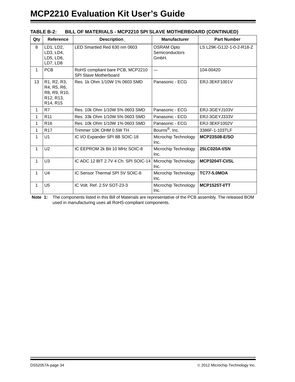| Qty          | Reference                                                                                                                                                     | Description_                                              | <b>Manufacturer</b>                          | <b>Part Number</b>       |  |
|--------------|---------------------------------------------------------------------------------------------------------------------------------------------------------------|-----------------------------------------------------------|----------------------------------------------|--------------------------|--|
| 8            | LD1, LD2,<br>LD3, LD4,<br>LD5, LD6,<br>LD7, LD8                                                                                                               | LED Smartled Red 630 nm 0603                              | <b>OSRAM Opto</b><br>Semiconductors<br>GmbH. | LS L29K-G1J2-1-0-2-R18-Z |  |
| $\mathbf{1}$ | <b>PCB</b>                                                                                                                                                    | RoHS compliant bare PCB, MCP2210<br>SPI Slave Motherboard | $\overline{\phantom{0}}$                     | 104-00420                |  |
| 13           | R <sub>1</sub> , R <sub>2</sub> , R <sub>3</sub> ,<br>R4, R5, R6,<br>R8, R9, R10,<br>R <sub>12</sub> , R <sub>13</sub> ,<br>R <sub>14</sub> , R <sub>15</sub> | Res. 1k Ohm 1/10W 1% 0603 SMD                             | Panasonic - ECG                              | ERJ-3EKF1001V            |  |
| $\mathbf{1}$ | R7                                                                                                                                                            | Res. 10k Ohm 1/10W 5% 0603 SMD                            | Panasonic - ECG                              | ERJ-3GEYJ103V            |  |
| 1            | R <sub>11</sub>                                                                                                                                               | Res. 33k Ohm 1/10W 5% 0603 SMD                            | Panasonic - ECG                              | ERJ-3GEYJ333V            |  |
| 1            | R <sub>16</sub>                                                                                                                                               | Res. 10k Ohm 1/10W 1% 0603 SMD                            | Panasonic - ECG                              | ERJ-3EKF1002V            |  |
| 1            | R <sub>17</sub>                                                                                                                                               | Trimmer 10K OHM 0.5W TH                                   | Bourns <sup>®</sup> , Inc.                   | 3386F-1-103TLF           |  |
| 1            | U <sub>1</sub>                                                                                                                                                | IC I/O Expander SPI 8B SOIC-18                            | Microchip Technology<br>Inc.                 | <b>MCP23S08-E/SO</b>     |  |
| 1            | U <sub>2</sub>                                                                                                                                                | IC EEPROM 2k Bit 10 MHz SOIC-8                            | Microchip Technology<br>Inc.                 | 25LC020A-I/SN            |  |
| $\mathbf{1}$ | U <sub>3</sub>                                                                                                                                                | IC ADC 12 BIT 2.7V 4 Ch. SPI SOIC-14                      | Microchip Technology<br>Inc.                 | MCP3204T-CI/SL           |  |
| 1            | J4                                                                                                                                                            | IC Sensor Thermal SPI 5V SOIC-8                           | Microchip Technology<br>Inc.                 | <b>TC77-5.0MOA</b>       |  |
| 1            | U <sub>5</sub>                                                                                                                                                | IC Volt. Ref. 2.5V SOT-23-3                               | Microchip Technology<br>Inc.                 | <b>MCP1525T-I/TT</b>     |  |

| TABLE B-2: | BILL OF MATERIALS - MCP2210 SPI SLAVE MOTHERBOARD (CONTINUED) |  |
|------------|---------------------------------------------------------------|--|
|------------|---------------------------------------------------------------|--|

**Note 1:** The components listed in this Bill of Materials are representative of the PCB assembly. The released BOM used in manufacturing uses all RoHS-compliant components.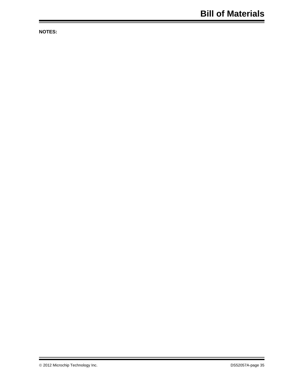**NOTES:**

ī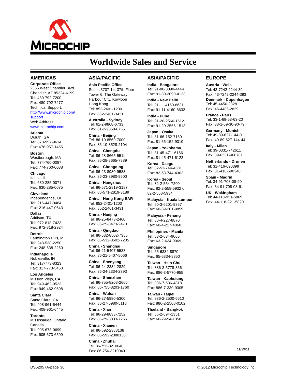

# **Worldwide Sales and Service**

#### <span id="page-37-0"></span>**AMERICAS**

**Corporate Office** 2355 West Chandler Blvd. Chandler, AZ 85224-6199 Tel: 480-792-7200 Fax: 480-792-7277 Technical Support: [http://www.microchip.com/](http://support.microchip.com) support

Web Address: www.microchip.com

**Atlanta** Duluth, GA Tel: 678-957-9614 Fax: 678-957-1455

**Boston** Westborough, MA Tel: 774-760-0087 Fax: 774-760-0088

**Chicago** Itasca, IL Tel: 630-285-0071 Fax: 630-285-0075

**Cleveland** Independence, OH Tel: 216-447-0464 Fax: 216-447-0643

**Dallas** Addison, TX Tel: 972-818-7423 Fax: 972-818-2924

**Detroit** Farmington Hills, MI Tel: 248-538-2250 Fax: 248-538-2260

**Indianapolis** Noblesville, IN Tel: 317-773-8323 Fax: 317-773-5453

**Los Angeles** Mission Viejo, CA Tel: 949-462-9523 Fax: 949-462-9608

**Santa Clara** Santa Clara, CA Tel: 408-961-6444 Fax: 408-961-6445

**Toronto** Mississauga, Ontario, Canada Tel: 905-673-0699 Fax: 905-673-6509

#### **ASIA/PACIFIC**

**Asia Pacific Office** Suites 3707-14, 37th Floor Tower 6, The Gateway Harbour City, Kowloon Hong Kong Tel: 852-2401-1200 Fax: 852-2401-3431

**Australia - Sydney** Tel: 61-2-9868-6733 Fax: 61-2-9868-6755

**China - Beijing** Tel: 86-10-8569-7000 Fax: 86-10-8528-2104

**China - Chengdu** Tel: 86-28-8665-5511 Fax: 86-28-8665-7889

**China - Chongqing** Tel: 86-23-8980-9588 Fax: 86-23-8980-9500

**China - Hangzhou** Tel: 86-571-2819-3187

Fax: 86-571-2819-3189 **China - Hong Kong SAR** Tel: 852-2401-1200

Fax: 852-2401-3431 **China - Nanjing**

Tel: 86-25-8473-2460 Fax: 86-25-8473-2470 **China - Qingdao** Tel: 86-532-8502-7355

Fax: 86-532-8502-7205 **China - Shanghai**

Tel: 86-21-5407-5533 Fax: 86-21-5407-5066

**China - Shenyang** Tel: 86-24-2334-2829 Fax: 86-24-2334-2393

**China - Shenzhen** Tel: 86-755-8203-2660 Fax: 86-755-8203-1760

**China - Wuhan** Tel: 86-27-5980-5300 Fax: 86-27-5980-5118

**China - Xian** Tel: 86-29-8833-7252 Fax: 86-29-8833-7256

**China - Xiamen** Tel: 86-592-2388138 Fax: 86-592-2388130

**China - Zhuhai** Tel: 86-756-3210040 Fax: 86-756-3210049

#### **ASIA/PACIFIC**

**India - Bangalore** Tel: 91-80-3090-4444 Fax: 91-80-3090-4123

**India - New Delhi** Tel: 91-11-4160-8631 Fax: 91-11-4160-8632

**India - Pune** Tel: 91-20-2566-1512 Fax: 91-20-2566-1513

**Japan - Osaka** Tel: 81-66-152-7160 Fax: 81-66-152-9310

**Japan - Yokohama** Tel: 81-45-471- 6166 Fax: 81-45-471-6122

**Korea - Daegu** Tel: 82-53-744-4301 Fax: 82-53-744-4302

**Korea - Seoul** Tel: 82-2-554-7200 Fax: 82-2-558-5932 or 82-2-558-5934

**Malaysia - Kuala Lumpur** Tel: 60-3-6201-9857 Fax: 60-3-6201-9859

**Malaysia - Penang** Tel: 60-4-227-8870 Fax: 60-4-227-4068

**Philippines - Manila** Tel: 63-2-634-9065 Fax: 63-2-634-9069

**Singapore** Tel: 65-6334-8870 Fax: 65-6334-8850

**Taiwan - Hsin Chu** Tel: 886-3-5778-366 Fax: 886-3-5770-955

**Taiwan - Kaohsiung** Tel: 886-7-536-4818 Fax: 886-7-330-9305

**Taiwan - Taipei** Tel: 886-2-2500-6610 Fax: 886-2-2508-0102

**Thailand - Bangkok** Tel: 66-2-694-1351 Fax: 66-2-694-1350

#### **EUROPE**

**Austria - Wels** Tel: 43-7242-2244-39 Fax: 43-7242-2244-393 **Denmark - Copenhagen** Tel: 45-4450-2828 Fax: 45-4485-2829

**France - Paris** Tel: 33-1-69-53-63-20 Fax: 33-1-69-30-90-79

**Germany - Munich** Tel: 49-89-627-144-0 Fax: 49-89-627-144-44

**Italy - Milan**  Tel: 39-0331-742611 Fax: 39-0331-466781

**Netherlands - Drunen** Tel: 31-416-690399 Fax: 31-416-690340

**Spain - Madrid** Tel: 34-91-708-08-90 Fax: 34-91-708-08-91

**UK - Wokingham** Tel: 44-118-921-5869 Fax: 44-118-921-5820